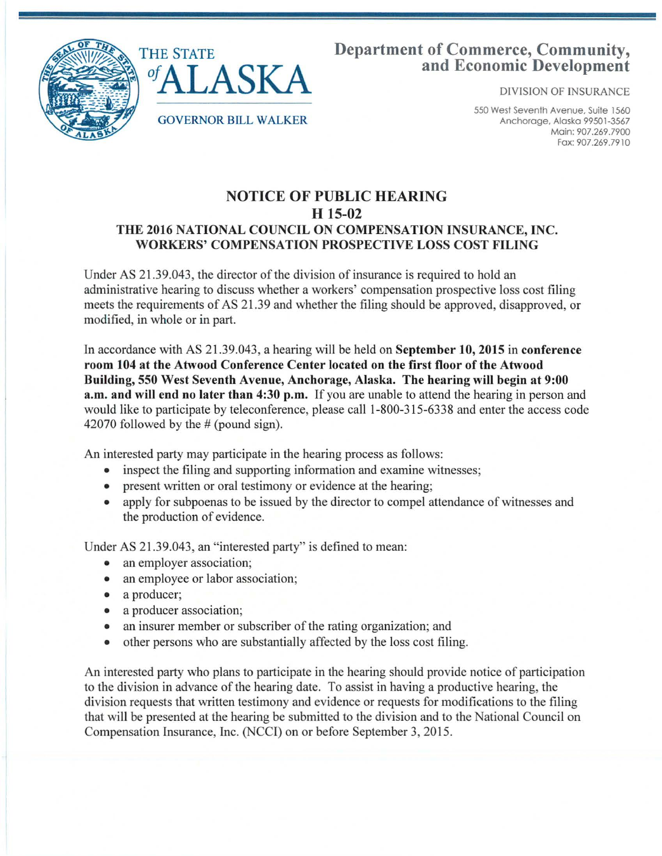

## Department of Commerce, Community, and Economic Development

DIVISION OF INSURANCE

550 West Seventh Avenue, Suite 1560 Anchorage, Alaska 99501-3567 Main: 907.269.7900 Fax: 907 .269 .7910

## NOTICE OF PUBLIC HEARING H 15-02 THE 2016 NATIONAL COUNCIL ON COMPENSATION INSURANCE, INC. WORKERS' COMPENSATION PROSPECTIVE LOSS COST FILING

Under AS 21.39.043, the director of the division of insurance is required to hold an administrative hearing to discuss whether a workers' compensation prospective loss cost filing meets the requirements of AS 21.39 and whether the filing should be approved, disapproved, or modified, in whole or in part.

In accordance with AS 21.39.043, a hearing will be held on September 10, 2015 in conference room 104 at the Atwood Conference Center located on the first floor of the Atwood Building, 550 West Seventh Avenue, Anchorage, Alaska. The hearing will begin at 9:00 a.m. and will end no later than 4:30 p.m. If you are unable to attend the hearing in person and would like to participate by teleconference, please call 1-800-315-6338 and enter the access code 42070 followed by the # (pound sign).

An interested party may participate in the hearing process as follows:

- inspect the filing and supporting information and examine witnesses;
- present written or oral testimony or evidence at the hearing;
- apply for subpoenas to be issued by the director to compel attendance of witnesses and the production of evidence.

Under AS 21.39.043, an "interested party" is defined to mean:

- an employer association;
- an employee or labor association;
- a producer;
- a producer association;
- an insurer member or subscriber of the rating organization; and
- other persons who are substantially affected by the loss cost filing.

An interested party who plans to participate in the hearing should provide notice of participation to the division in advance of the hearing date. To assist in having a productive hearing, the division requests that written testimony and evidence or requests for modifications to the filing that will be presented at the hearing be submitted to the division and to the National Council on Compensation Insurance, Inc. (NCC!) on or before September 3, 2015.